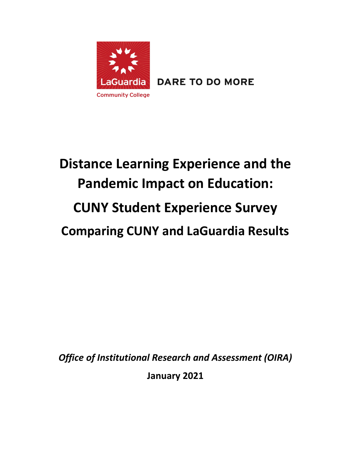

**DARE TO DO MORE** 

# **Distance Learning Experience and the Pandemic Impact on Education: CUNY Student Experience Survey Comparing CUNY and LaGuardia Results**

*Office of Institutional Research and Assessment (OIRA)*

**January 2021**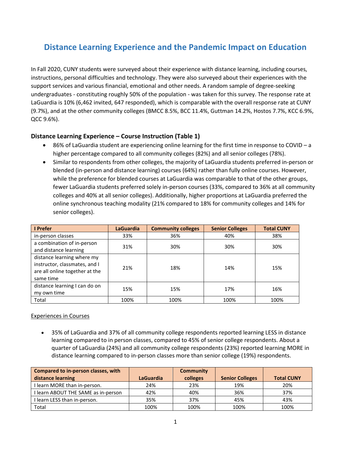# **Distance Learning Experience and the Pandemic Impact on Education**

In Fall 2020, CUNY students were surveyed about their experience with distance learning, including courses, instructions, personal difficulties and technology. They were also surveyed about their experiences with the support services and various financial, emotional and other needs. A random sample of degree-seeking undergraduates - constituting roughly 50% of the population - was taken for this survey. The response rate at LaGuardia is 10% (6,462 invited, 647 responded), which is comparable with the overall response rate at CUNY (9.7%), and at the other community colleges (BMCC 8.5%, BCC 11.4%, Guttman 14.2%, Hostos 7.7%, KCC 6.9%, QCC 9.6%).

### **Distance Learning Experience – Course Instruction (Table 1)**

- 86% of LaGuardia student are experiencing online learning for the first time in response to COVID a higher percentage compared to all community colleges (82%) and all senior colleges (78%).
- Similar to respondents from other colleges, the majority of LaGuardia students preferred in-person or blended (in-person and distance learning) courses (64%) rather than fully online courses. However, while the preference for blended courses at LaGuardia was comparable to that of the other groups, fewer LaGuardia students preferred solely in-person courses (33%, compared to 36% at all community colleges and 40% at all senior colleges). Additionally, higher proportions at LaGuardia preferred the online synchronous teaching modality (21% compared to 18% for community colleges and 14% for senior colleges).

| I Prefer                                                                                                   | <b>LaGuardia</b> | <b>Community colleges</b> | <b>Senior Colleges</b> | <b>Total CUNY</b> |
|------------------------------------------------------------------------------------------------------------|------------------|---------------------------|------------------------|-------------------|
| in-person classes                                                                                          | 33%              | 36%                       | 40%                    | 38%               |
| a combination of in-person<br>and distance learning                                                        | 31%              | 30%                       | 30%                    | 30%               |
| distance learning where my<br>instructor, classmates, and I<br>are all online together at the<br>same time | 21%              | 18%                       | 14%                    | 15%               |
| distance learning I can do on<br>my own time                                                               | 15%              | 15%                       | 17%                    | 16%               |
| Total                                                                                                      | 100%             | 100%                      | 100%                   | 100%              |

### Experiences in Courses

• 35% of LaGuardia and 37% of all community college respondents reported learning LESS in distance learning compared to in person classes, compared to 45% of senior college respondents. About a quarter of LaGuardia (24%) and all community college respondents (23%) reported learning MORE in distance learning compared to in-person classes more than senior college (19%) respondents.

| <b>Compared to in-person classes, with</b> |           | <b>Community</b> |                        |                   |
|--------------------------------------------|-----------|------------------|------------------------|-------------------|
| distance learning                          | LaGuardia | colleges         | <b>Senior Colleges</b> | <b>Total CUNY</b> |
| I learn MORE than in-person.               | 24%       | 23%              | 19%                    | 20%               |
| I learn ABOUT THE SAME as in-person        | 42%       | 40%              | 36%                    | 37%               |
| I learn LESS than in-person.               | 35%       | 37%              | 45%                    | 43%               |
| Total                                      | 100%      | 100%             | 100%                   | 100%              |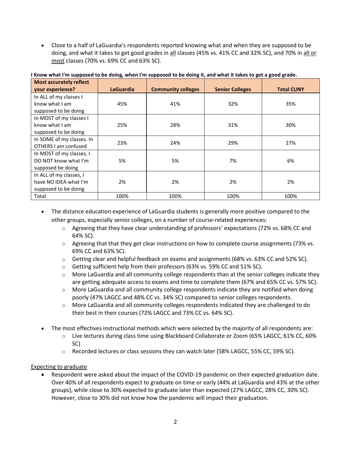• Close to a half of LaGuardia's respondents reported knowing what and when they are supposed to be doing, and what it takes to get good grades in all classes (45% vs. 41% CC and 32% SC), and 70% in all or most classes (70% vs. 69% CC and 63% SC).

| <b>Most accurately reflect</b> |                  |                           |                        |                   |
|--------------------------------|------------------|---------------------------|------------------------|-------------------|
| your experience?               | <b>LaGuardia</b> | <b>Community colleges</b> | <b>Senior Colleges</b> | <b>Total CUNY</b> |
| In ALL of my classes I         |                  |                           |                        |                   |
| know what I am                 | 45%              | 41%                       | 32%                    | 35%               |
| supposed to be doing           |                  |                           |                        |                   |
| In MOST of my classes I        |                  |                           |                        |                   |
| know what I am                 | 25%              | 28%                       | 31%                    | 30%               |
| supposed to be doing           |                  |                           |                        |                   |
| In SOME of my classes. In      | 23%              | 24%                       | 29%                    | 27%               |
| OTHERS I am confused           |                  |                           |                        |                   |
| In MOST of my classes, I       |                  |                           |                        |                   |
| DO NOT know what I'm           | 5%               | 5%                        | 7%                     | 6%                |
| supposed be doing              |                  |                           |                        |                   |
| In ALL of my classes, I        |                  |                           |                        |                   |
| have NO IDEA what I'm          | 2%               | 2%                        | 2%                     | 2%                |
| supposed to be doing           |                  |                           |                        |                   |
| Total                          | 100%             | 100%                      | 100%                   | 100%              |

**I Know what I'm supposed to be doing, when I'm supposed to be doing it, and what it takes to get a good grade.**

- The distance education experience of LaGuardia students is generally more positive compared to the other groups, especially senior colleges, on a number of course-related experiences:
	- $\circ$  Agreeing that they have clear understanding of professors' expectations (72% vs. 68% CC and 64% SC).
	- $\circ$  Agreeing that that they get clear instructions on how to complete course assignments (73% vs. 69% CC and 63% SC).
	- $\circ$  Getting clear and helpful feedback on exams and assignments (68% vs. 63% CC and 52% SC).
	- o Getting sufficient help from their professors (63% vs. 59% CC and 51% SC).
	- $\circ$  More LaGuardia and all community college respondents than at the senior colleges indicate they are getting adequate access to exams and time to complete them (67% and 65% CC vs. 57% SC).
	- $\circ$  More LaGuardia and all community college respondents indicate they are notified when doing poorly (47% LAGCC and 48% CC vs. 34% SC) compared to senior colleges respondents.
	- $\circ$  More LaGuardia and all community colleges respondents indicated they are challenged to do their best in their courses (72% LAGCC and 73% CC vs. 64% SC).
- The most effectives instructional methods which were selected by the majority of all respondents are:
	- o Live lectures during class time using Blackboard Collaborate or Zoom (65% LAGCC, 61% CC, 60% SC)
	- $\circ$  Recorded lectures or class sessions they can watch later (58% LAGCC, 55% CC, 59% SC).

### Expecting to graduate

• Respondent were asked about the impact of the COVID-19 pandemic on their expected graduation date. Over 40% of all respondents expect to graduate on time or early (44% at LaGuardia and 43% at the other groups), while close to 30% expected to graduate later than expected (27% LAGCC, 28% CC, 30% SC). However, close to 30% did not know how the pandemic will impact their graduation.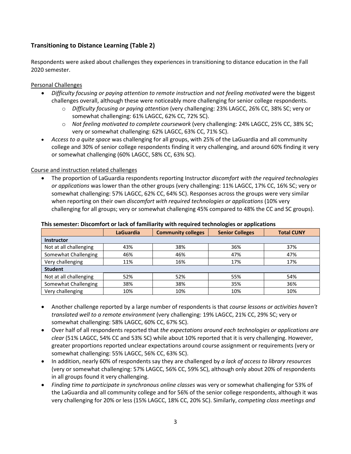# **Transitioning to Distance Learning (Table 2)**

Respondents were asked about challenges they experiences in transitioning to distance education in the Fall 2020 semester.

### Personal Challenges

- *Difficulty focusing or paying attention to remote instruction* and *not feeling motivated* were the biggest challenges overall, although these were noticeably more challenging for senior college respondents.
	- o *Difficulty focusing or paying attention* (very challenging: 23% LAGCC, 26% CC, 38% SC; very or somewhat challenging: 61% LAGCC, 62% CC, 72% SC).
	- o *Not feeling motivated to complete coursework* (very challenging: 24% LAGCC, 25% CC, 38% SC; very or somewhat challenging: 62% LAGCC, 63% CC, 71% SC).
- *Access to a quite space* was challenging for all groups, with 25% of the LaGuardia and all community college and 30% of senior college respondents finding it very challenging, and around 60% finding it very or somewhat challenging (60% LAGCC, 58% CC, 63% SC).

### Course and instruction related challenges

• The proportion of LaGuardia respondents reporting Instructor *discomfort with the required technologies or applications* was lower than the other groups (very challenging: 11% LAGCC, 17% CC, 16% SC; very or somewhat challenging: 57% LAGCC, 62% CC, 64% SC). Responses across the groups were very similar when reporting on their own *discomfort with required technologies or applications* (10% very challenging for all groups; very or somewhat challenging 45% compared to 48% the CC and SC groups).

|                        | <b>LaGuardia</b> | <b>Community colleges</b> | <b>Senior Colleges</b> | <b>Total CUNY</b> |  |  |
|------------------------|------------------|---------------------------|------------------------|-------------------|--|--|
| <b>Instructor</b>      |                  |                           |                        |                   |  |  |
| Not at all challenging | 43%              | 38%                       | 36%                    | 37%               |  |  |
| Somewhat Challenging   | 46%              | 46%                       | 47%                    | 47%               |  |  |
| Very challenging       | 11%              | 16%                       | 17%                    | 17%               |  |  |
| <b>Student</b>         |                  |                           |                        |                   |  |  |
| Not at all challenging | 52%              | 52%                       | 55%                    | 54%               |  |  |
| Somewhat Challenging   | 38%              | 38%                       | 35%                    | 36%               |  |  |
| Very challenging       | 10%              | 10%                       | 10%                    | 10%               |  |  |

### **This semester: Discomfort or lack of familiarity with required technologies or applications**

- Another challenge reported by a large number of respondents is that *course lessons or activities haven't translated well to a remote environment* (very challenging: 19% LAGCC, 21% CC, 29% SC; very or somewhat challenging: 58% LAGCC, 60% CC, 67% SC).
- Over half of all respondents reported that *the expectations around each technologies or applications are clear* (51% LAGCC, 54% CC and 53% SC) while about 10% reported that it is very challenging. However, greater proportions reported unclear expectations around course assignment or requirements (very or somewhat challenging: 55% LAGCC, 56% CC, 63% SC).
- In addition, nearly 60% of respondents say they are challenged by *a lack of access to library resources* (very or somewhat challenging: 57% LAGCC, 56% CC, 59% SC), although only about 20% of respondents in all groups found it very challenging.
- *Finding time to participate in synchronous online classes* was very or somewhat challenging for 53% of the LaGuardia and all community college and for 56% of the senior college respondents, although it was very challenging for 20% or less (15% LAGCC, 18% CC, 20% SC). Similarly, *competing class meetings and*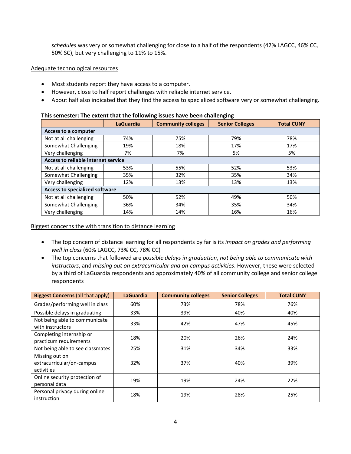*schedules* was very or somewhat challenging for close to a half of the respondents (42% LAGCC, 46% CC, 50% SC), but very challenging to 11% to 15%.

### Adequate technological resources

- Most students report they have access to a computer.
- However, close to half report challenges with reliable internet service.
- About half also indicated that they find the access to specialized software very or somewhat challenging.

#### **This semester: The extent that the following issues have been challenging**

|                                       |                  | ້                         |                        |                   |
|---------------------------------------|------------------|---------------------------|------------------------|-------------------|
|                                       | <b>LaGuardia</b> | <b>Community colleges</b> | <b>Senior Colleges</b> | <b>Total CUNY</b> |
| Access to a computer                  |                  |                           |                        |                   |
| Not at all challenging                | 74%              | 75%                       | 79%                    | 78%               |
| Somewhat Challenging                  | 19%              | 18%                       | 17%                    | 17%               |
| Very challenging                      | 7%               | 7%                        | 5%                     | 5%                |
| Access to reliable internet service   |                  |                           |                        |                   |
| Not at all challenging                | 53%              | 55%                       | 52%                    | 53%               |
| Somewhat Challenging                  | 35%              | 32%                       | 35%                    | 34%               |
| Very challenging                      | 12%              | 13%                       | 13%                    | 13%               |
| <b>Access to specialized software</b> |                  |                           |                        |                   |
| Not at all challenging                | 50%              | 52%                       | 49%                    | 50%               |
| Somewhat Challenging                  | 36%              | 34%                       | 35%                    | 34%               |
| Very challenging                      | 14%              | 14%                       | 16%                    | 16%               |

#### Biggest concerns the with transition to distance learning

- The top concern of distance learning for all respondents by far is its *impact on grades and performing well in class* (60% LAGCC, 73% CC, 78% CC)
- The top concerns that followed are *possible delays in graduation*, *not being able to communicate with instructors*, and *missing out on extracurricular and on-campus activities*. However, these were selected by a third of LaGuardia respondents and approximately 40% of all community college and senior college respondents

| <b>Biggest Concerns (all that apply)</b>                  | <b>LaGuardia</b> | <b>Community colleges</b> | <b>Senior Colleges</b> | <b>Total CUNY</b> |
|-----------------------------------------------------------|------------------|---------------------------|------------------------|-------------------|
| Grades/performing well in class                           | 60%              | 73%                       | 78%                    | 76%               |
| Possible delays in graduating                             | 33%              | 39%                       | 40%                    | 40%               |
| Not being able to communicate<br>with instructors         | 33%              | 42%                       | 47%                    | 45%               |
| Completing internship or<br>practicum requirements        | 18%              | 20%                       | 26%                    | 24%               |
| Not being able to see classmates                          | 25%              | 31%                       | 34%                    | 33%               |
| Missing out on<br>extracurricular/on-campus<br>activities | 32%              | 37%                       | 40%                    | 39%               |
| Online security protection of<br>personal data            | 19%              | 19%                       | 24%                    | 22%               |
| Personal privacy during online<br>instruction             | 18%              | 19%                       | 28%                    | 25%               |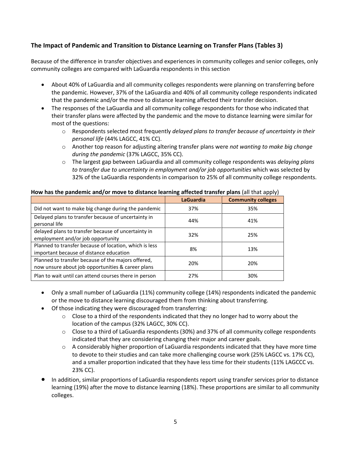# **The Impact of Pandemic and Transition to Distance Learning on Transfer Plans (Tables 3)**

Because of the difference in transfer objectives and experiences in community colleges and senior colleges, only community colleges are compared with LaGuardia respondents in this section

- About 40% of LaGuardia and all community colleges respondents were planning on transferring before the pandemic. However, 37% of the LaGuardia and 40% of all community college respondents indicated that the pandemic and/or the move to distance learning affected their transfer decision.
- The responses of the LaGuardia and all community college respondents for those who indicated that their transfer plans were affected by the pandemic and the move to distance learning were similar for most of the questions:
	- o Respondents selected most frequently *delayed plans to transfer because of uncertainty in their personal life* (44% LAGCC, 41% CC).
	- o Another top reason for adjusting altering transfer plans were *not wanting to make big change during the pandemic* (37% LAGCC, 35% CC).
	- o The largest gap between LaGuardia and all community college respondents was *delaying plans to transfer due to uncertainty in employment and/or job opportunities* which was selected by 32% of the LaGuardia respondents in comparison to 25% of all community college respondents.

| ן הקודי הוא להשיר היותר היותר היותר היותר היותר היותר היותר היותר היותר היותר היותר היותר היותר היותר היותר ה |                  |                           |  |  |
|---------------------------------------------------------------------------------------------------------------|------------------|---------------------------|--|--|
|                                                                                                               | <b>LaGuardia</b> | <b>Community colleges</b> |  |  |
| Did not want to make big change during the pandemic                                                           | 37%              | 35%                       |  |  |
| Delayed plans to transfer because of uncertainty in<br>personal life                                          | 44%              | 41%                       |  |  |
| delayed plans to transfer because of uncertainty in<br>employment and/or job opportunity                      | 32%              | 25%                       |  |  |
| Planned to transfer because of location, which is less<br>important because of distance education             | 8%               | 13%                       |  |  |
| Planned to transfer because of the majors offered,<br>now unsure about job opportunities & career plans       | 20%              | 20%                       |  |  |
| Plan to wait until can attend courses there in person                                                         | 27%              | 30%                       |  |  |

### **How has the pandemic and/or move to distance learning affected transfer plans** (all that apply)

- Only a small number of LaGuardia (11%) community college (14%) respondents indicated the pandemic or the move to distance learning discouraged them from thinking about transferring.
- Of those indicating they were discouraged from transferring:
	- $\circ$  Close to a third of the respondents indicated that they no longer had to worry about the location of the campus (32% LAGCC, 30% CC).
	- $\circ$  Close to a third of LaGuardia respondents (30%) and 37% of all community college respondents indicated that they are considering changing their major and career goals.
	- $\circ$  A considerably higher proportion of LaGuardia respondents indicated that they have more time to devote to their studies and can take more challenging course work (25% LAGCC vs. 17% CC), and a smaller proportion indicated that they have less time for their students (11% LAGCCC vs. 23% CC).
- In addition, similar proportions of LaGuardia respondents report using transfer services prior to distance learning (19%) after the move to distance learning (18%). These proportions are similar to all community colleges.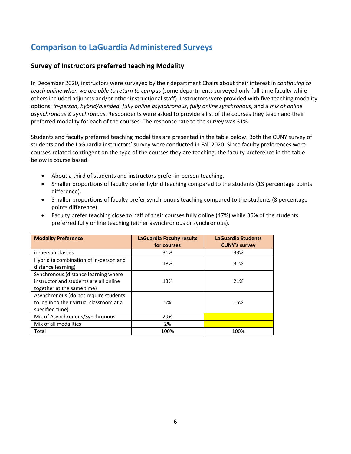# **Comparison to LaGuardia Administered Surveys**

# **Survey of Instructors preferred teaching Modality**

In December 2020, instructors were surveyed by their department Chairs about their interest in *continuing to teach online when we are able to return to campus* (some departments surveyed only full-time faculty while others included adjuncts and/or other instructional staff). Instructors were provided with five teaching modality options: *in-person*, *hybrid/blended*, *fully online asynchronous*, *fully online synchronous*, and a *mix of online asynchronous & synchronous*. Respondents were asked to provide a list of the courses they teach and their preferred modality for each of the courses. The response rate to the survey was 31%.

Students and faculty preferred teaching modalities are presented in the table below. Both the CUNY survey of students and the LaGuardia instructors' survey were conducted in Fall 2020. Since faculty preferences were courses-related contingent on the type of the courses they are teaching, the faculty preference in the table below is course based.

- About a third of students and instructors prefer in-person teaching.
- Smaller proportions of faculty prefer hybrid teaching compared to the students (13 percentage points difference).
- Smaller proportions of faculty prefer synchronous teaching compared to the students (8 percentage points difference).

| <b>Modality Preference</b>                                                                                   | <b>LaGuardia Faculty results</b><br>for courses | LaGuardia Students<br><b>CUNY's survey</b> |
|--------------------------------------------------------------------------------------------------------------|-------------------------------------------------|--------------------------------------------|
| in-person classes                                                                                            | 31%                                             | 33%                                        |
| Hybrid (a combination of in-person and<br>distance learning)                                                 | 18%                                             | 31%                                        |
| Synchronous (distance learning where<br>instructor and students are all online<br>together at the same time) | 13%                                             | 21%                                        |
| Asynchronous (do not require students<br>to log in to their virtual classroom at a<br>specified time)        | 5%                                              | 15%                                        |
| Mix of Asynchronous/Synchronous                                                                              | 29%                                             |                                            |
| Mix of all modalities                                                                                        | 2%                                              |                                            |
| Total                                                                                                        | 100%                                            | 100%                                       |

• Faculty prefer teaching close to half of their courses fully online (47%) while 36% of the students preferred fully online teaching (either asynchronous or synchronous).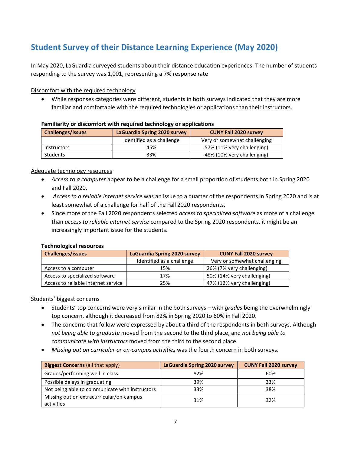# **Student Survey of their Distance Learning Experience (May 2020)**

In May 2020, LaGuardia surveyed students about their distance education experiences. The number of students responding to the survey was 1,001, representing a 7% response rate

### Discomfort with the required technology

• While responses categories were different, students in both surveys indicated that they are more familiar and comfortable with the required technologies or applications than their instructors.

| <b>Challenges/issues</b> |                    | LaGuardia Spring 2020 survey | <b>CUNY Fall 2020 survey</b> |  |  |  |
|--------------------------|--------------------|------------------------------|------------------------------|--|--|--|
|                          |                    | Identified as a challenge    | Very or somewhat challenging |  |  |  |
|                          | <b>Instructors</b> | 45%                          | 57% (11% very challenging)   |  |  |  |
|                          | Students           | 33%                          | 48% (10% very challenging)   |  |  |  |

#### **Familiarity or discomfort with required technology or applications**

#### Adequate technology resources

- *Access to a computer* appear to be a challenge for a small proportion of students both in Spring 2020 and Fall 2020.
- *Access to a reliable internet service* was an issue to a quarter of the respondents in Spring 2020 and is at least somewhat of a challenge for half of the Fall 2020 respondents.
- Since more of the Fall 2020 respondents selected *access to specialized software* as more of a challenge than *access to reliable internet service* compared to the Spring 2020 respondents, it might be an increasingly important issue for the students.

### **Technological resources**

| <b>Challenges/issues</b>            | LaGuardia Spring 2020 survey | <b>CUNY Fall 2020 survey</b> |
|-------------------------------------|------------------------------|------------------------------|
|                                     | Identified as a challenge    | Very or somewhat challenging |
| Access to a computer                | 15%                          | 26% (7% very challenging)    |
| Access to specialized software      | 17%                          | 50% (14% very challenging)   |
| Access to reliable internet service | 25%                          | 47% (12% very challenging)   |

### Students' biggest concerns

- Students' top concerns were very similar in the both surveys with *grades* being the overwhelmingly top concern, although it decreased from 82% in Spring 2020 to 60% in Fall 2020.
- The concerns that follow were expressed by about a third of the respondents in both surveys. Although *not being able to graduate* moved from the second to the third place, and *not being able to communicate with instructors* moved from the third to the second place.
- *Missing out on curricular or on-campus activities* was the fourth concern in both surveys.

| <b>Biggest Concerns (all that apply)</b>       | LaGuardia Spring 2020 survey | <b>CUNY Fall 2020 survey</b> |
|------------------------------------------------|------------------------------|------------------------------|
| Grades/performing well in class                | 82%                          | 60%                          |
| Possible delays in graduating                  | 39%                          | 33%                          |
| Not being able to communicate with instructors | 33%                          | 38%                          |
| Missing out on extracurricular/on-campus       | 31%                          | 32%                          |
| activities                                     |                              |                              |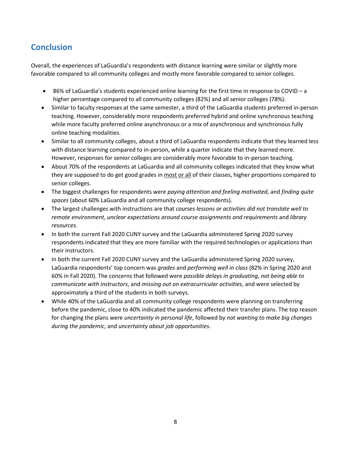# **Conclusion**

Overall, the experiences of LaGuardia's respondents with distance learning were similar or slightly more favorable compared to all community colleges and mostly more favorable compared to senior colleges.

- 86% of LaGuardia's students experienced online learning for the first time in response to COVID a higher percentage compared to all community colleges (82%) and all senior colleges (78%).
- Similar to faculty responses at the same semester, a third of the LaGuardia students preferred in-person teaching. However, considerably more respondents preferred hybrid and online synchronous teaching while more faculty preferred online asynchronous or a mix of asynchronous and synchronous fully online teaching modalities.
- Similar to all community colleges, about a third of LaGuardia respondents indicate that they learned less with distance learning compared to in-person, while a quarter indicate that they learned more. However, responses for senior colleges are considerably more favorable to in-person teaching.
- About 70% of the respondents at LaGuardia and all community colleges indicated that they know what they are supposed to do get good grades in most or all of their classes, higher proportions compared to senior colleges.
- The biggest challenges for respondents were *paying attention and feeling motivated*, and *finding quite spaces* (about 60% LaGuardia and all community college respondents).
- The largest challenges with instructions are that *courses lessons or activities did not translate well to remote environment*, *unclear expectations around course assignments and requirements* and *library resources*.
- In both the current Fall 2020 CUNY survey and the LaGuardia administered Spring 2020 survey respondents indicated that they are more familiar with the required technologies or applications than their instructors.
- In both the current Fall 2020 CUNY survey and the LaGuardia administered Spring 2020 survey, LaGuardia respondents' top concern was *grades* and *performing well in class* (82% in Spring 2020 and 60% in Fall 2020). The concerns that followed were *possible delays in graduating*, *not being able to communicate with instructors*, and *missing out on extracurricular activities*, and were selected by approximately a third of the students in both surveys.
- While 40% of the LaGuardia and all community college respondents were planning on transferring before the pandemic, close to 40% indicated the pandemic affected their transfer plans. The top reason for changing the plans were *uncertainty in personal life*, followed by *not wanting to make big changes during the pandemic*, and *uncertainty about job opportunities*.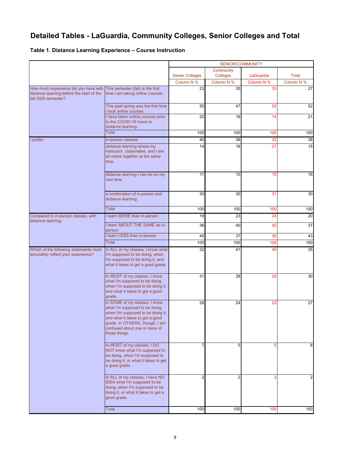# **Detailed Tables - LaGuardia, Community Colleges, Senior Colleges and Total**

### **Table 1. Distance Learning Experience – Course Instruction**

|                                                                                                           |                                                                                                                                                                                                                             | SENIOR/COMMUNITY       |                       |                 |                |
|-----------------------------------------------------------------------------------------------------------|-----------------------------------------------------------------------------------------------------------------------------------------------------------------------------------------------------------------------------|------------------------|-----------------------|-----------------|----------------|
|                                                                                                           |                                                                                                                                                                                                                             | <b>Senior Colleges</b> | Community<br>Colleges | LaGuardia       | Total          |
|                                                                                                           |                                                                                                                                                                                                                             | Column N %             | Column N %            | Column N %      | Column N %     |
| How much experience did you have with<br>distance learning before the start of the<br>fall 2020 semester? | This semester (fall) is the first<br>time I am taking online courses.                                                                                                                                                       | 23                     | 35                    | 33              | 27             |
|                                                                                                           | This past spring was the first time<br>I took online courses.                                                                                                                                                               | 55                     | 47                    | 52              | 52             |
|                                                                                                           | I have taken online courses prior<br>to the COVID-19 move to<br>distance learning.                                                                                                                                          | 22                     | 18                    | 14              | 21             |
|                                                                                                           | <b>Total</b>                                                                                                                                                                                                                | 100                    | 100                   | 100             | 100            |
| I prefer:                                                                                                 | in-person classes                                                                                                                                                                                                           | 40                     | 36                    | 33              | 38             |
|                                                                                                           | distance learning where my<br>instructor, classmates, and I are<br>all online together at the same<br>time                                                                                                                  | 14                     | 18                    | $\overline{21}$ | 15             |
|                                                                                                           | distance learning I can do on my<br>own time                                                                                                                                                                                | 17                     | 15                    | 15              | 16             |
|                                                                                                           | a combination of in-person and<br>distance learning                                                                                                                                                                         | 30                     | 30                    | 31              | 30             |
|                                                                                                           | Total                                                                                                                                                                                                                       | 100                    | 100                   | 100             | 100            |
| Compared to in-person classes, with                                                                       | I learn MORE than in-person.                                                                                                                                                                                                | 19                     | 23                    | 24              | 20             |
| distance learning:                                                                                        | I learn ABOUT THE SAME as in-<br>person.                                                                                                                                                                                    | 36                     | 40                    | 42              | 37             |
|                                                                                                           | I learn LESS than in-person.                                                                                                                                                                                                | 45                     | 37                    | 35              | 43             |
|                                                                                                           | Total                                                                                                                                                                                                                       | 100                    | 100                   | 100             | 100            |
| Which of the following statements most<br>accurately reflect your experience?                             | In ALL of my classes, I know what<br>I'm supposed to be doing, when<br>I'm supposed to be doing it, and<br>what it takes to get a good grade.                                                                               | 32                     | 41                    | 45              | 35             |
|                                                                                                           | In MOST of my classes, I know<br>what I'm supposed to be doing,<br>when I'm supposed to be doing it,<br>and what it takes to get a good<br>grade.                                                                           | 31                     | 28                    | 25              | 30             |
|                                                                                                           | In SOME of my classes, I know<br>what I'm supposed to be doing,<br>when I'm supposed to be doing it,<br>and what it takes to get a good<br>grade. In OTHERS, though, I am<br>confused about one or more of<br>these things. | 29                     | 24                    | 23              | 27             |
|                                                                                                           | In MOST of my classes, I DO<br>NOT know what I'm supposed to<br>be doing, when I'm supposed to<br>be doing it, or what it takes to get<br>a good grade.                                                                     |                        | 5                     | 5               | 6              |
|                                                                                                           | In ALL of my classes, I have NO<br>IDEA what I'm supposed to be<br>doing, when I'm supposed to be<br>doing it, or what it takes to get a<br>good grade.                                                                     | $\overline{2}$         | $\overline{2}$        |                 | $\overline{c}$ |
|                                                                                                           | Total                                                                                                                                                                                                                       | 100                    | 100                   | 100             | 100            |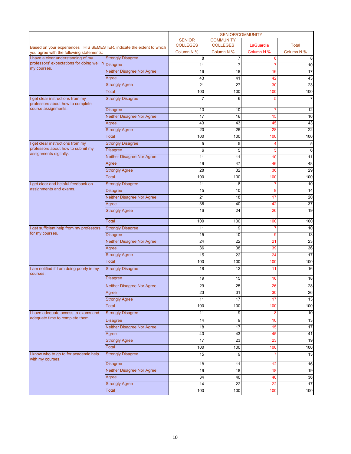|                                                                       |                                   | <b>SENIOR/COMMUNITY</b>          |                                     |            |                 |
|-----------------------------------------------------------------------|-----------------------------------|----------------------------------|-------------------------------------|------------|-----------------|
| Based on your experiences THIS SEMESTER, indicate the extent to which |                                   | <b>SENIOR</b><br><b>COLLEGES</b> | <b>COMMUNITY</b><br><b>COLLEGES</b> | LaGuardia  | <b>Total</b>    |
| you agree with the following statements:                              |                                   | Column N %                       | Column N %                          | Column N % | Column N %      |
| I have a clear understanding of my                                    | <b>Strongly Disagree</b>          | 8                                | 7                                   | 6          | 8               |
| professors' expectations for doing well in Disagree                   |                                   | 11                               | $\overline{7}$                      | 7          | 10              |
| my courses.                                                           | Neither Disagree Nor Agree        | 16                               | 18                                  | 16         | 17              |
|                                                                       | Agree                             | 43                               | 41                                  | 42         | 43              |
|                                                                       | <b>Strongly Agree</b>             | 21                               | 27                                  | 30         | $\overline{23}$ |
|                                                                       | Total                             | 100                              | 100                                 | 100        | 100             |
| I get clear instructions from my<br>professors about how to complete  | <b>Strongly Disagree</b>          |                                  | 6                                   | 5          | 7               |
| course assignments.                                                   | <b>Disagree</b>                   | 13                               | 10                                  | 7          | 12              |
|                                                                       | <b>Neither Disagree Nor Agree</b> | 17                               | 16                                  | 15         | 16              |
|                                                                       | Agree                             | 43                               | 43                                  | 45         | 43              |
|                                                                       | <b>Strongly Agree</b>             | 20                               | $\overline{26}$                     | 28         | $\overline{22}$ |
|                                                                       | Total                             | 100                              | 100                                 | 100        | 100             |
| I get clear instructions from my                                      | <b>Strongly Disagree</b>          | 5                                | 5                                   | 4          | 5               |
| professors about how to submit my                                     | <b>Disagree</b>                   | 6                                | 5                                   | 5          | 6               |
| assignments digitally.                                                | <b>Neither Disagree Nor Agree</b> | 11                               | 11                                  | 10         | 11              |
|                                                                       |                                   | 49                               | 47                                  | 46         | 48              |
|                                                                       | Agree<br><b>Strongly Agree</b>    | 28                               | 32                                  |            | 29              |
|                                                                       | Total                             |                                  |                                     | 36         |                 |
|                                                                       |                                   | 100                              | 100                                 | 100        | 100             |
| I get clear and helpful feedback on<br>assignments and exams.         | <b>Strongly Disagree</b>          | 11                               | 8                                   | 7          | 10              |
|                                                                       | <b>Disagree</b>                   | 15                               | 10                                  | 9          | 14              |
|                                                                       | Neither Disagree Nor Agree        | 21                               | 18                                  | 17         | 20              |
|                                                                       | Agree                             | 36                               | 40                                  | 42         | $\overline{37}$ |
|                                                                       | <b>Strongly Agree</b>             | 16                               | 24                                  | 26         | 19              |
|                                                                       | <b>Total</b>                      | 100                              | 100                                 | 100        | 100             |
| I get sufficient help from my professors                              | <b>Strongly Disagree</b>          | 11                               | 9                                   |            | 10              |
| for my courses.                                                       | <b>Disagree</b>                   | 15                               | 10                                  | 9          | 13              |
|                                                                       | Neither Disagree Nor Agree        | 24                               | 22                                  | 21         | 23              |
|                                                                       | Agree                             | 36                               | 38                                  | 39         | 36              |
|                                                                       | <b>Strongly Agree</b>             | 15                               | 22                                  | 24         | 17              |
|                                                                       | <b>Total</b>                      | 100                              | 100                                 | 100        | 100             |
| I am notified if I am doing poorly in my<br>courses.                  | <b>Strongly Disagree</b>          | 18                               | 12                                  | 11         | 16              |
|                                                                       | <b>Disagree</b>                   | 19                               | 15                                  | 16         | 18              |
|                                                                       | <b>Neither Disagree Nor Agree</b> | 29                               | 25                                  | 26         | $\overline{28}$ |
|                                                                       | Agree                             | 23                               | 31                                  | 30         | 26              |
|                                                                       | <b>Strongly Agree</b>             | 11                               | 17                                  | 17         | 13              |
|                                                                       | Total                             | 100                              | 100                                 | 100        | 100             |
| I have adequate access to exams and                                   | <b>Strongly Disagree</b>          | 11                               | 9                                   | 8          | 10              |
| adequate time to complete them.                                       | <b>Disagree</b>                   | 14                               | 9                                   | 10         | 13              |
|                                                                       | <b>Neither Disagree Nor Agree</b> | 18                               | 17                                  | 15         | 17              |
|                                                                       | Agree                             | 40                               | 43                                  | 45         | 41              |
|                                                                       | <b>Strongly Agree</b>             | 17                               | 23                                  | 23         | 19              |
|                                                                       |                                   |                                  |                                     |            |                 |
|                                                                       | <b>Total</b>                      | 100                              | 100                                 | 100        | 100             |
| I know who to go to for academic help<br>with my courses.             | <b>Strongly Disagree</b>          | 15                               | 9<br>11                             | 7          | 13<br>16        |
|                                                                       | <b>Disagree</b>                   | 18                               |                                     | 12         |                 |
|                                                                       | Neither Disagree Nor Agree        | 19                               | 18                                  | 18         | 19              |
|                                                                       | Agree                             | 34                               | 40                                  | 40         | 36              |
|                                                                       | <b>Strongly Agree</b>             | 14                               | $\overline{22}$                     | 22         | 17              |
|                                                                       | Total                             | 100                              | 100                                 | 100        | 100             |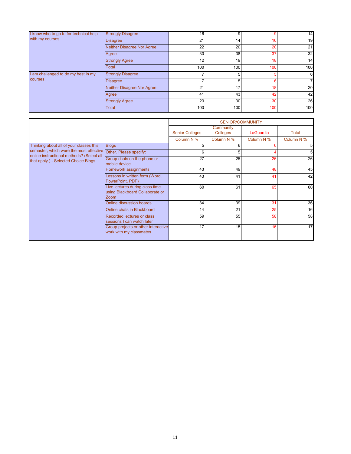| I know who to go to for technical help<br>with my courses. | <b>Strongly Disagree</b>   | 16  | 9               |     | 14  |
|------------------------------------------------------------|----------------------------|-----|-----------------|-----|-----|
|                                                            | <b>Disagree</b>            | 21  | 14 <sub>l</sub> | 16  | 19  |
|                                                            | Neither Disagree Nor Agree | 22  | 20              | 20  | 21  |
|                                                            | Agree                      | 30  | 38              | 37  | 32  |
|                                                            | <b>Strongly Agree</b>      | 12  | 19              | 18  | 14  |
|                                                            | Total                      | 100 | 100             | 100 | 100 |
| I am challenged to do my best in my                        | <b>Strongly Disagree</b>   |     | 5               |     | 6   |
| courses.                                                   | <b>Disagree</b>            |     | 5               | ĥ   | 7   |
|                                                            | Neither Disagree Nor Agree | 21  | 17              | 18  | 20  |
|                                                            | Agree                      | 41  | 43              | 42  | 42  |
|                                                            | <b>Strongly Agree</b>      | 23  | 30              | 30  | 26  |
|                                                            | <b>Total</b>               | 100 | 100             | 100 | 100 |

|                                                                                                                                                                                                |                                                                            | <b>SENIOR/COMMUNITY</b> |                       |            |                |
|------------------------------------------------------------------------------------------------------------------------------------------------------------------------------------------------|----------------------------------------------------------------------------|-------------------------|-----------------------|------------|----------------|
|                                                                                                                                                                                                |                                                                            | <b>Senior Colleges</b>  | Community<br>Colleges | LaGuardia  | Total          |
|                                                                                                                                                                                                |                                                                            | Column N %              | Column N %            | Column N % | Column N %     |
| Thinking about all of your classes this<br>semester, which were the most effective Other. Please specify:<br>online instructional methods? (Select all<br>that apply.) - Selected Choice Blogs | <b>Blogs</b>                                                               | 5                       | 6                     |            | 5 <sup>1</sup> |
|                                                                                                                                                                                                |                                                                            | 6                       | 5                     |            | 5              |
|                                                                                                                                                                                                | Group chats on the phone or<br>mobile device                               | 27                      | 25                    | 26         | 26             |
|                                                                                                                                                                                                | Homework assignments                                                       | 43                      | 49                    | 48         | 45             |
|                                                                                                                                                                                                | Lessons in written form (Word,<br>PowerPoint, PDF)                         | 43                      | 41                    | 41         | 42             |
|                                                                                                                                                                                                | Live lectures during class time<br>using Blackboard Collaborate or<br>Zoom | 60                      | 61                    | 65         | 60             |
|                                                                                                                                                                                                | Online discussion boards                                                   | 34                      | 39                    | 31         | 36             |
|                                                                                                                                                                                                | Online chats in Blackboard                                                 | 14                      | 21                    | 25         | 16             |
|                                                                                                                                                                                                | Recorded lectures or class<br>sessions I can watch later                   | 59                      | 55                    | 58         | 58             |
|                                                                                                                                                                                                | Group projects or other interactive<br>work with my classmates             | 17                      | 15                    | 16         | 17             |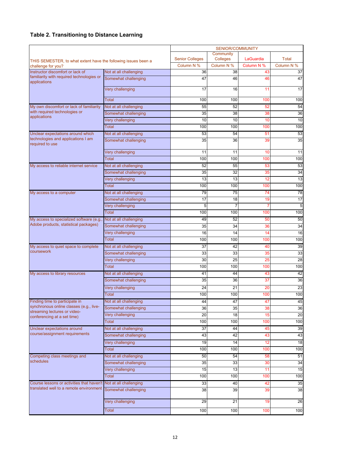### **Table 2. Transitioning to Distance Learning**

|                                                                                      |                                                | <b>SENIOR/COMMUNITY</b> |                      |                  |                  |
|--------------------------------------------------------------------------------------|------------------------------------------------|-------------------------|----------------------|------------------|------------------|
|                                                                                      |                                                |                         | Community            |                  |                  |
| THIS SEMESTER, to what extent have the following issues been a                       |                                                | <b>Senior Colleges</b>  | Colleges             | LaGuardia        | <b>Total</b>     |
| challenge for you?<br>Instructor discomfort or lack of                               | Not at all challenging                         | Column N %<br>36        | Column N %<br>38     | Column N %<br>43 | Column N %<br>37 |
| familiarity with required technologies or                                            | Somewhat challenging                           | 47                      | 46                   | 46               | 47               |
| applications                                                                         |                                                |                         |                      |                  |                  |
|                                                                                      | Very challenging                               | 17                      | 16                   | 11               | 17               |
|                                                                                      | Total                                          | 100                     | 100                  | 100              | 100              |
| My own discomfort or lack of familiarity                                             | Not at all challenging                         | 55                      | 52                   | 52               | 54               |
| with required technologies or                                                        | Somewhat challenging                           | 35                      | 38                   | 38               | 36               |
| applications                                                                         | Very challenging                               | 10                      | 10                   | 10               | 10               |
|                                                                                      | <b>Total</b>                                   | 100                     | 100                  | 100              | 100              |
| Unclear expectations around which                                                    | Not at all challenging                         | 53                      | 54                   | 51               | 53               |
| technologies and applications I am<br>required to use                                | Somewhat challenging                           | 35                      | 36                   | 39               | 35               |
|                                                                                      |                                                |                         |                      |                  |                  |
|                                                                                      | Very challenging                               | 11                      | 11                   | 10               | 11               |
|                                                                                      | <b>Total</b>                                   | 100                     | 100                  | 100              | 100              |
| My access to reliable internet service                                               | Not at all challenging                         | 52                      | 55                   | 53               | 53               |
|                                                                                      | Somewhat challenging                           | 35                      | 32                   | 35               | 34               |
|                                                                                      | Very challenging                               | 13                      | 13                   | 12               | 13               |
|                                                                                      | Total                                          | 100                     | 100                  | 100              | 100              |
| My access to a computer                                                              | Not at all challenging                         | 79                      | 75                   | 74               | 78               |
|                                                                                      | Somewhat challenging<br>Very challenging       | 17<br>5                 | 18<br>$\overline{7}$ | 19<br>7          | 17<br>5          |
|                                                                                      | Total                                          | 100                     | 100                  | 100              | 100              |
| My access to specialized software (e.g.                                              | Not at all challenging                         | 49                      | 52                   | 50               | 50               |
| Adobe products, statistical packages)                                                | Somewhat challenging                           | 35                      | 34                   | 36               | 34               |
|                                                                                      | Very challenging                               | 16                      | 14                   | 14               | 16               |
|                                                                                      | <b>Total</b>                                   | 100                     | 100                  | 100              | 100              |
| My access to quiet space to complete                                                 | Not at all challenging                         | 37                      | 42                   | 40               | 39               |
| coursework                                                                           | Somewhat challenging                           | 33                      | 33                   | 35               | 33               |
|                                                                                      | Very challenging                               | 30                      | 25                   | 25               | 28               |
|                                                                                      | Total                                          | 100                     | 100                  | 100              | 100              |
| My access to library resources                                                       | Not at all challenging                         | 41                      | 44                   | 43               | 42               |
|                                                                                      | Somewhat challenging                           | 35                      | 36                   | 37               | 36               |
|                                                                                      | Very challenging                               | 24                      | 21                   | 20               | 23               |
|                                                                                      | <b>Total</b>                                   | 100                     | 100                  | 100              | 100              |
| Finding time to participate in                                                       | Not at all challenging                         | 44                      | 47                   | 41               | 45               |
| synchronous online classes (e.g., live-<br>streaming lectures or video-              | Somewhat challenging                           | 36                      | 35                   | 38               | 36               |
| conferencing at a set time)                                                          | Very challenging                               | 20                      | 18                   | 15               | 20               |
|                                                                                      | Total                                          | 100                     | 100                  | 100              | 100              |
| Unclear expectations around<br>course/assignment requirements                        | Not at all challenging                         | 37                      | 44                   | 45               | 39               |
|                                                                                      | Somewhat challenging                           | 43                      | 42                   | 43               | 43               |
|                                                                                      | Very challenging                               | 19                      | 14                   | 12               | 18               |
|                                                                                      | <b>Total</b>                                   | 100                     | 100                  | 100              | 100              |
| Competing class meetings and<br>schedules                                            | Not at all challenging                         | 50                      | 54                   | 58               | 51               |
|                                                                                      | Somewhat challenging                           | 35                      | 33                   | 30               | 34               |
|                                                                                      | Very challenging<br>Total                      | 15<br>100               | 13<br>100            | 11               | 15<br>100        |
|                                                                                      |                                                |                         |                      | 100              |                  |
| Course lessons or activities that haven't<br>translated well to a remote environment | Not at all challenging<br>Somewhat challenging | 33<br>38                | 40<br>39             | 42<br>39         | 35<br>38         |
|                                                                                      |                                                |                         |                      |                  |                  |
|                                                                                      | Very challenging                               | 29                      | 21                   | 19               | 26               |
|                                                                                      | <b>Total</b>                                   | 100                     | 100                  | 100              | 100              |
|                                                                                      |                                                |                         |                      |                  |                  |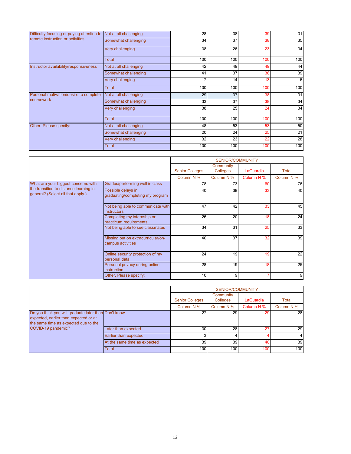| Difficulty focusing or paying attention to<br>remote instruction or activities | Not at all challenging | 28  | 38              | 39  | 31  |
|--------------------------------------------------------------------------------|------------------------|-----|-----------------|-----|-----|
|                                                                                | Somewhat challenging   | 34  | 37              | 38  | 35  |
|                                                                                | Very challenging       | 38  | 26              | 23  | 34  |
|                                                                                | Total                  | 100 | 100             | 100 | 100 |
| Instructor availability/responsiveness                                         | Not at all challenging | 42  | 49              | 49  | 44  |
|                                                                                | Somewhat challenging   | 41  | 37              | 38  | 39  |
|                                                                                | Very challenging       | 17  | 14              | 13  | 16  |
|                                                                                | Total                  | 100 | 100             | 100 | 100 |
|                                                                                |                        |     |                 |     |     |
| Personal motivation/desire to complete                                         | Not at all challenging | 29  | $\overline{37}$ | 38  | 31  |
| coursework                                                                     | Somewhat challenging   | 33  | 37              | 38  | 34  |
|                                                                                | Very challenging       | 38  | 25              | 24  | 34  |
|                                                                                | Total                  | 100 | 100             | 100 | 100 |
| Other. Please specify:                                                         | Not at all challenging | 48  | 53              | 53  | 50  |
|                                                                                | Somewhat challenging   | 20  | 24              | 25  | 21  |
|                                                                                | Very challenging       | 32  | 23              | 22  | 28  |

|                                                                             |                                                          | <b>SENIOR/COMMUNITY</b> |                              |            |            |
|-----------------------------------------------------------------------------|----------------------------------------------------------|-------------------------|------------------------------|------------|------------|
|                                                                             |                                                          | <b>Senior Colleges</b>  | Community<br><b>Colleges</b> | LaGuardia  | Total      |
|                                                                             |                                                          | Column N %              | Column N %                   | Column N % | Column N % |
| What are your biggest concerns with                                         | Grades/performing well in class                          | 78                      | 73                           | 60         | 76         |
| the transition to distance learning in<br>general? (Select all that apply.) | Possible delays in<br>graduating/completing my program   | 40                      | 39                           | 33         | 40         |
|                                                                             | Not being able to communicate with<br><b>instructors</b> | 47                      | 42                           | 33         | 45         |
|                                                                             | Completing my internship or<br>practicum requirements    | 26                      | 20                           | 18         | 24         |
|                                                                             | Not being able to see classmates                         | 34                      | 31                           | 25         | 33         |
|                                                                             | Missing out on extracurricular/on-<br>campus activities  | 40                      | 37                           | 32         | 39         |
|                                                                             | Online security protection of my<br>personal data        | 24                      | 19                           | 19         | 22         |
|                                                                             | Personal privacy during online<br>instruction            | 28                      | 19                           | 18         | 25         |
|                                                                             | Other. Please specify:                                   | 10                      | 9                            |            | 9          |

|                                                                                                                                                             |                              | <b>SENIOR/COMMUNITY</b> |                       |            |                 |  |
|-------------------------------------------------------------------------------------------------------------------------------------------------------------|------------------------------|-------------------------|-----------------------|------------|-----------------|--|
|                                                                                                                                                             |                              | <b>Senior Colleges</b>  | Community<br>Colleges | LaGuardia  | Total           |  |
|                                                                                                                                                             |                              | Column N %              | Column N %            | Column N % | Column N %      |  |
| Do you think you will graduate later than Don't know<br>expected, earlier than expected or at<br>the same time as expected due to the<br>COVID-19 pandemic? |                              | 27                      | 29                    | 29         | <b>28</b>       |  |
|                                                                                                                                                             | Later than expected          | 30 <sup>1</sup>         | 28                    | 27         | 29              |  |
|                                                                                                                                                             | Earlier than expected        | 3                       |                       |            | $\overline{4}$  |  |
|                                                                                                                                                             | At the same time as expected | 39 <sup>1</sup>         | 39 <sup>1</sup>       | 40         | 39 <sup>°</sup> |  |
|                                                                                                                                                             | <b>Total</b>                 | 100                     | 100 <sup>1</sup>      | 100        | 100             |  |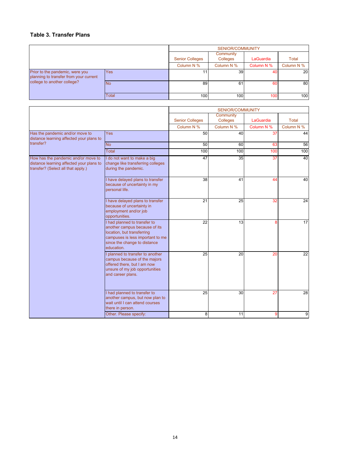#### **Table 3. Transfer Plans**

|                                                                                                          | <b>SENIOR/COMMUNITY</b> |                        |            |            |                 |
|----------------------------------------------------------------------------------------------------------|-------------------------|------------------------|------------|------------|-----------------|
|                                                                                                          |                         | <b>Senior Colleges</b> |            | LaGuardia  | <b>Total</b>    |
|                                                                                                          |                         | Column N %             | Column N % | Column N % | Column N %      |
| Prior to the pandemic, were you<br>planning to transfer from your current<br>college to another college? | <b>Yes</b>              |                        | 39         | 40         | 20 <sub>l</sub> |
|                                                                                                          | N <sub>o</sub>          | 89                     | 61         | 60         | 80              |
|                                                                                                          | <b>Total</b>            | 100                    | 100        | 100        | 100             |

|                                                                                                                       |                                                                                                                                                                               |                        | SENIOR/COMMUNITY      |            |            |
|-----------------------------------------------------------------------------------------------------------------------|-------------------------------------------------------------------------------------------------------------------------------------------------------------------------------|------------------------|-----------------------|------------|------------|
|                                                                                                                       |                                                                                                                                                                               | <b>Senior Colleges</b> | Community<br>Colleges | LaGuardia  | Total      |
|                                                                                                                       |                                                                                                                                                                               | Column N %             | Column N %            | Column N % | Column N % |
| Has the pandemic and/or move to<br>distance learning affected your plans to                                           | <b>Yes</b>                                                                                                                                                                    | 50                     | 40                    | 37         | 44         |
| transfer?                                                                                                             | <b>No</b>                                                                                                                                                                     | 50                     | 60                    | 63         | 56         |
|                                                                                                                       | <b>Total</b>                                                                                                                                                                  | 100                    | 100                   | 100        | 100        |
| How has the pandemic and/or move to<br>distance learning affected your plans to<br>transfer? (Select all that apply.) | I do not want to make a big<br>change like transferring colleges<br>during the pandemic.                                                                                      | 47                     | 35                    | 37         | 40         |
|                                                                                                                       | I have delayed plans to transfer<br>because of uncertainty in my<br>personal life.                                                                                            | 38                     | 41                    | 44         | 40         |
|                                                                                                                       | I have delayed plans to transfer<br>because of uncertainty in<br>employment and/or job<br>opportunities.                                                                      | 21                     | $\overline{25}$       | 32         | 24         |
|                                                                                                                       | I had planned to transfer to<br>another campus because of its<br>location, but transferring<br>campuses is less important to me<br>since the change to distance<br>education. | 22                     | 13                    | 8          | 17         |
|                                                                                                                       | planned to transfer to another<br>campus because of the majors<br>offered there, but I am now<br>unsure of my job opportunities<br>and career plans.                          | 25                     | 20                    | 20         | 22         |
|                                                                                                                       | I had planned to transfer to<br>another campus, but now plan to<br>wait until I can attend courses<br>there in person.                                                        | 25                     | 30                    | 27         | 28         |
|                                                                                                                       | Other. Please specify:                                                                                                                                                        | 8                      | 11                    | 9          | 9          |